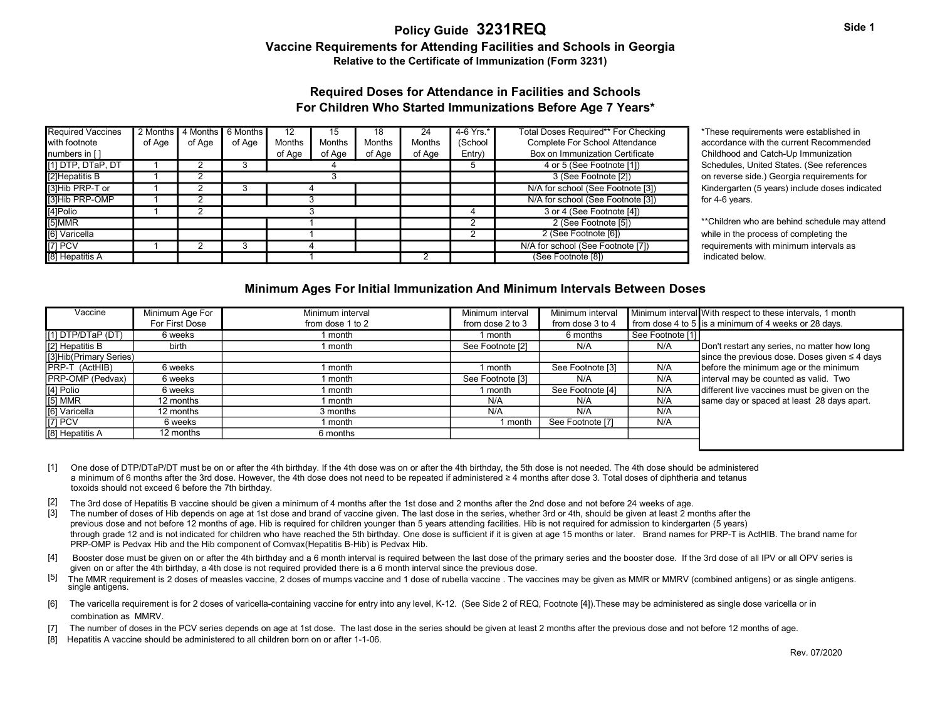# Vaccine Requirements for Attending Facilities and Schools in Georgia Relative to the Certificate of Immunization (Form 3231)

## For Children Who Started Immunizations Before Age 7 Years\* Required Doses for Attendance in Facilities and Schools

| <b>Required Vaccines</b>         |        | 2 Months   4 Months | 6 Months | 12     | 15     | 18     | 24            | 4-6 Yrs.*                 | Total Doses Required** For Checking | *These requireme   |
|----------------------------------|--------|---------------------|----------|--------|--------|--------|---------------|---------------------------|-------------------------------------|--------------------|
| with footnote                    | of Age | of Age              | of Age   | Months | Months | Months | <b>Months</b> | (School                   | Complete For School Attendance      | accordance with t  |
| numbers in $\lceil \cdot \rceil$ |        |                     |          | of Age | of Age | of Age | of Age        | Entry)                    | Box on Immunization Certificate     | Childhood and Ca   |
| [1] DTP, DTaP, DT                |        |                     |          |        |        |        |               | 4 or 5 (See Footnote [1]) | Schedules, Uniter                   |                    |
| [2] Hepatitis B                  |        |                     |          |        |        |        |               |                           | 3 (See Footnote [2])                | on reverse side.)  |
| [3]Hib PRP-T or                  |        |                     |          |        |        |        |               |                           | N/A for school (See Footnote [3])   | Kindergarten (5 y  |
| [3]Hib PRP-OMP                   |        |                     |          |        |        |        |               |                           | N/A for school (See Footnote [3])   | for 4-6 years.     |
| [4]Polio                         |        |                     |          |        |        |        |               |                           | 3 or 4 (See Footnote [4])           |                    |
| [5]MMR                           |        |                     |          |        |        |        |               |                           | 2 (See Footnote [5])                | **Children who ar  |
| [6] Varicella                    |        |                     |          |        |        |        |               |                           | 2 (See Footnote [6])                | while in the proce |
| $[7]$ PCV                        |        |                     |          |        |        |        |               |                           | N/A for school (See Footnote [7])   | requirements with  |
| [8] Hepatitis A                  |        |                     |          |        |        |        |               |                           | (See Footnote [8])                  | indicated below.   |

\*These requirements were established in accordance with the current Recommended Childhood and Catch-Up Immunization Schedules, United States. (See references on reverse side.) Georgia requirements for Kindergarten (5 years) include doses indicated

### Minimum Ages For Initial Immunization And Minimum Intervals Between Doses

| [2] Hepatitis B<br>$\overline{2}$<br>3 (See Footnote [2])<br>3<br>on reverse side.) Georgia requirements for<br>[3]Hib PRP-T or<br>N/A for school (See Footnote [3])<br>2<br>3<br>4<br>[3]Hib PRP-OMP<br>2<br>N/A for school (See Footnote [3])<br>3<br>for 4-6 years.<br>[4]Polio<br>2<br>3<br>3 or 4 (See Footnote [4])<br>$\boldsymbol{\varLambda}$<br>[5]MMR<br>2<br>2 (See Footnote [5])<br>-1<br>[6] Varicella<br>2 (See Footnote [6])<br>$\overline{2}$<br>while in the process of completing the<br>-1<br>$[7]$ PCV<br>$\overline{2}$<br>$\overline{3}$<br>N/A for school (See Footnote [7])<br>requirements with minimum intervals as<br>$\boldsymbol{\varDelta}$<br>(See Footnote [8])<br>indicated below.<br>Minimum Ages For Initial Immunization And Minimum Intervals Between Doses<br>Vaccine<br>Minimum Age For<br>Minimum interval<br>Minimum interval<br>Minimum interval With respect to these intervals, 1 month<br>Minimum interval<br>from dose 4 to 5 is a minimum of 4 weeks or 28 days.<br>For First Dose<br>from dose 1 to 2<br>from dose 3 to 4<br>from dose 2 to 3<br>See Footnote [1]<br>1 month<br>6 weeks<br>1 month<br>6 months<br>N/A<br>birth<br>See Footnote [2]<br>N/A<br>Don't restart any series, no matter how long<br>1 month<br>since the previous dose. Doses given $\leq 4$ days<br>N/A<br>before the minimum age or the minimum<br>6 weeks<br>See Footnote [3]<br>1 month<br>1 month<br>N/A<br>N/A<br>interval may be counted as valid. Two<br>6 weeks<br>See Footnote [3]<br>1 month<br>N/A<br>different live vaccines must be given on the<br>6 weeks<br>See Footnote [4]<br>1 month<br>1 month<br>N/A<br>same day or spaced at least 28 days apart.<br>12 months<br>N/A<br>N/A<br>1 month<br>N/A<br>N/A<br>12 months<br>N/A<br>3 months<br>See Footnote [7]<br>N/A<br>6 weeks<br>1 month<br>1 month<br>12 months<br>6 months<br>One dose of DTP/DTaP/DT must be on or after the 4th birthday. If the 4th dose was on or after the 4th birthday, the 5th dose is not needed. The 4th dose should be administered<br>a minimum of 6 months after the 3rd dose. However, the 4th dose does not need to be repeated if administered ≥ 4 months after dose 3. Total doses of diphtheria and tetanus<br>toxoids should not exceed 6 before the 7th birthday.<br>The 3rd dose of Hepatitis B vaccine should be given a minimum of 4 months after the 1st dose and 2 months after the 2nd dose and not before 24 weeks of age.<br>The number of doses of Hib depends on age at 1st dose and brand of vaccine given. The last dose in the series, whether 3rd or 4th, should be given at least 2 months after the<br>previous dose and not before 12 months of age. Hib is required for children younger than 5 years attending facilities. Hib is not required for admission to kindergarten (5 years)<br>through grade 12 and is not indicated for children who have reached the 5th birthday. One dose is sufficient if it is given at age 15 months or later. Brand names for PRP-T is ActHIB. The brand name for<br>PRP-OMP is Pedvax Hib and the Hib component of Comvax (Hepatitis B-Hib) is Pedvax Hib.<br>Booster dose must be given on or after the 4th birthday and a 6 month interval is required between the last dose of the primary series and the booster dose. If the 3rd dose of all IPV or all OPV series is<br>given on or after the 4th birthday, a 4th dose is not required provided there is a 6 month interval since the previous dose.<br>The MMR requirement is 2 doses of measles vaccine, 2 doses of mumps vaccine and 1 dose of rubella vaccine . The vaccines may be given as MMR or MMRV (combined antigens) or as single antigens.<br>single antigens. | الل استقاليا العاليا |  | ∠ | ັ |  |  |  | ັ |  | $+$ 01 0 1000 1000 1000 111 |  | Scriedules, Orlited States. (See releasities   |
|------------------------------------------------------------------------------------------------------------------------------------------------------------------------------------------------------------------------------------------------------------------------------------------------------------------------------------------------------------------------------------------------------------------------------------------------------------------------------------------------------------------------------------------------------------------------------------------------------------------------------------------------------------------------------------------------------------------------------------------------------------------------------------------------------------------------------------------------------------------------------------------------------------------------------------------------------------------------------------------------------------------------------------------------------------------------------------------------------------------------------------------------------------------------------------------------------------------------------------------------------------------------------------------------------------------------------------------------------------------------------------------------------------------------------------------------------------------------------------------------------------------------------------------------------------------------------------------------------------------------------------------------------------------------------------------------------------------------------------------------------------------------------------------------------------------------------------------------------------------------------------------------------------------------------------------------------------------------------------------------------------------------------------------------------------------------------------------------------------------------------------------------------------------------------------------------------------------------------------------------------------------------------------------------------------------------------------------------------------------------------------------------------------------------------------------------------------------------------------------------------------------------------------------------------------------------------------------------------------------------------------------------------------------------------------------------------------------------------------------------------------------------------------------------------------------------------------------------------------------------------------------------------------------------------------------------------------------------------------------------------------------------------------------------------------------------------------------------------------------------------------------------------------------------------------------------------------------------------------------------------------------------------------------------------------------------------------------------------------------------------------------------------------------------------------------------------------------------------------------------------------------------------------------------------------------------------------------------------------------------------------------------------------------------------------------------------------------------------|----------------------|--|---|---|--|--|--|---|--|-----------------------------|--|------------------------------------------------|
|                                                                                                                                                                                                                                                                                                                                                                                                                                                                                                                                                                                                                                                                                                                                                                                                                                                                                                                                                                                                                                                                                                                                                                                                                                                                                                                                                                                                                                                                                                                                                                                                                                                                                                                                                                                                                                                                                                                                                                                                                                                                                                                                                                                                                                                                                                                                                                                                                                                                                                                                                                                                                                                                                                                                                                                                                                                                                                                                                                                                                                                                                                                                                                                                                                                                                                                                                                                                                                                                                                                                                                                                                                                                                                                              |                      |  |   |   |  |  |  |   |  |                             |  |                                                |
|                                                                                                                                                                                                                                                                                                                                                                                                                                                                                                                                                                                                                                                                                                                                                                                                                                                                                                                                                                                                                                                                                                                                                                                                                                                                                                                                                                                                                                                                                                                                                                                                                                                                                                                                                                                                                                                                                                                                                                                                                                                                                                                                                                                                                                                                                                                                                                                                                                                                                                                                                                                                                                                                                                                                                                                                                                                                                                                                                                                                                                                                                                                                                                                                                                                                                                                                                                                                                                                                                                                                                                                                                                                                                                                              |                      |  |   |   |  |  |  |   |  |                             |  | Kindergarten (5 years) include doses indicated |
|                                                                                                                                                                                                                                                                                                                                                                                                                                                                                                                                                                                                                                                                                                                                                                                                                                                                                                                                                                                                                                                                                                                                                                                                                                                                                                                                                                                                                                                                                                                                                                                                                                                                                                                                                                                                                                                                                                                                                                                                                                                                                                                                                                                                                                                                                                                                                                                                                                                                                                                                                                                                                                                                                                                                                                                                                                                                                                                                                                                                                                                                                                                                                                                                                                                                                                                                                                                                                                                                                                                                                                                                                                                                                                                              |                      |  |   |   |  |  |  |   |  |                             |  |                                                |
|                                                                                                                                                                                                                                                                                                                                                                                                                                                                                                                                                                                                                                                                                                                                                                                                                                                                                                                                                                                                                                                                                                                                                                                                                                                                                                                                                                                                                                                                                                                                                                                                                                                                                                                                                                                                                                                                                                                                                                                                                                                                                                                                                                                                                                                                                                                                                                                                                                                                                                                                                                                                                                                                                                                                                                                                                                                                                                                                                                                                                                                                                                                                                                                                                                                                                                                                                                                                                                                                                                                                                                                                                                                                                                                              |                      |  |   |   |  |  |  |   |  |                             |  |                                                |
|                                                                                                                                                                                                                                                                                                                                                                                                                                                                                                                                                                                                                                                                                                                                                                                                                                                                                                                                                                                                                                                                                                                                                                                                                                                                                                                                                                                                                                                                                                                                                                                                                                                                                                                                                                                                                                                                                                                                                                                                                                                                                                                                                                                                                                                                                                                                                                                                                                                                                                                                                                                                                                                                                                                                                                                                                                                                                                                                                                                                                                                                                                                                                                                                                                                                                                                                                                                                                                                                                                                                                                                                                                                                                                                              |                      |  |   |   |  |  |  |   |  |                             |  | **Children who are behind schedule may attend  |
|                                                                                                                                                                                                                                                                                                                                                                                                                                                                                                                                                                                                                                                                                                                                                                                                                                                                                                                                                                                                                                                                                                                                                                                                                                                                                                                                                                                                                                                                                                                                                                                                                                                                                                                                                                                                                                                                                                                                                                                                                                                                                                                                                                                                                                                                                                                                                                                                                                                                                                                                                                                                                                                                                                                                                                                                                                                                                                                                                                                                                                                                                                                                                                                                                                                                                                                                                                                                                                                                                                                                                                                                                                                                                                                              |                      |  |   |   |  |  |  |   |  |                             |  |                                                |
| [8] Hepatitis A                                                                                                                                                                                                                                                                                                                                                                                                                                                                                                                                                                                                                                                                                                                                                                                                                                                                                                                                                                                                                                                                                                                                                                                                                                                                                                                                                                                                                                                                                                                                                                                                                                                                                                                                                                                                                                                                                                                                                                                                                                                                                                                                                                                                                                                                                                                                                                                                                                                                                                                                                                                                                                                                                                                                                                                                                                                                                                                                                                                                                                                                                                                                                                                                                                                                                                                                                                                                                                                                                                                                                                                                                                                                                                              |                      |  |   |   |  |  |  |   |  |                             |  |                                                |
| [[1] DTP/DTaP (DT)<br>[2] Hepatitis B<br>[3]Hib(Primary Series)<br>PRP-T (ActHIB)<br><b>PRP-OMP</b> (Pedvax)<br>[[4] Polio<br>[5] MMR<br>[6] Varicella<br>$\sqrt{7}$ PCV<br>[8] Hepatitis A<br>$[1]$<br>$[2]$<br>[4]                                                                                                                                                                                                                                                                                                                                                                                                                                                                                                                                                                                                                                                                                                                                                                                                                                                                                                                                                                                                                                                                                                                                                                                                                                                                                                                                                                                                                                                                                                                                                                                                                                                                                                                                                                                                                                                                                                                                                                                                                                                                                                                                                                                                                                                                                                                                                                                                                                                                                                                                                                                                                                                                                                                                                                                                                                                                                                                                                                                                                                                                                                                                                                                                                                                                                                                                                                                                                                                                                                         |                      |  |   |   |  |  |  |   |  |                             |  |                                                |
|                                                                                                                                                                                                                                                                                                                                                                                                                                                                                                                                                                                                                                                                                                                                                                                                                                                                                                                                                                                                                                                                                                                                                                                                                                                                                                                                                                                                                                                                                                                                                                                                                                                                                                                                                                                                                                                                                                                                                                                                                                                                                                                                                                                                                                                                                                                                                                                                                                                                                                                                                                                                                                                                                                                                                                                                                                                                                                                                                                                                                                                                                                                                                                                                                                                                                                                                                                                                                                                                                                                                                                                                                                                                                                                              |                      |  |   |   |  |  |  |   |  |                             |  |                                                |
|                                                                                                                                                                                                                                                                                                                                                                                                                                                                                                                                                                                                                                                                                                                                                                                                                                                                                                                                                                                                                                                                                                                                                                                                                                                                                                                                                                                                                                                                                                                                                                                                                                                                                                                                                                                                                                                                                                                                                                                                                                                                                                                                                                                                                                                                                                                                                                                                                                                                                                                                                                                                                                                                                                                                                                                                                                                                                                                                                                                                                                                                                                                                                                                                                                                                                                                                                                                                                                                                                                                                                                                                                                                                                                                              |                      |  |   |   |  |  |  |   |  |                             |  |                                                |
|                                                                                                                                                                                                                                                                                                                                                                                                                                                                                                                                                                                                                                                                                                                                                                                                                                                                                                                                                                                                                                                                                                                                                                                                                                                                                                                                                                                                                                                                                                                                                                                                                                                                                                                                                                                                                                                                                                                                                                                                                                                                                                                                                                                                                                                                                                                                                                                                                                                                                                                                                                                                                                                                                                                                                                                                                                                                                                                                                                                                                                                                                                                                                                                                                                                                                                                                                                                                                                                                                                                                                                                                                                                                                                                              |                      |  |   |   |  |  |  |   |  |                             |  |                                                |
|                                                                                                                                                                                                                                                                                                                                                                                                                                                                                                                                                                                                                                                                                                                                                                                                                                                                                                                                                                                                                                                                                                                                                                                                                                                                                                                                                                                                                                                                                                                                                                                                                                                                                                                                                                                                                                                                                                                                                                                                                                                                                                                                                                                                                                                                                                                                                                                                                                                                                                                                                                                                                                                                                                                                                                                                                                                                                                                                                                                                                                                                                                                                                                                                                                                                                                                                                                                                                                                                                                                                                                                                                                                                                                                              |                      |  |   |   |  |  |  |   |  |                             |  |                                                |
|                                                                                                                                                                                                                                                                                                                                                                                                                                                                                                                                                                                                                                                                                                                                                                                                                                                                                                                                                                                                                                                                                                                                                                                                                                                                                                                                                                                                                                                                                                                                                                                                                                                                                                                                                                                                                                                                                                                                                                                                                                                                                                                                                                                                                                                                                                                                                                                                                                                                                                                                                                                                                                                                                                                                                                                                                                                                                                                                                                                                                                                                                                                                                                                                                                                                                                                                                                                                                                                                                                                                                                                                                                                                                                                              |                      |  |   |   |  |  |  |   |  |                             |  |                                                |
|                                                                                                                                                                                                                                                                                                                                                                                                                                                                                                                                                                                                                                                                                                                                                                                                                                                                                                                                                                                                                                                                                                                                                                                                                                                                                                                                                                                                                                                                                                                                                                                                                                                                                                                                                                                                                                                                                                                                                                                                                                                                                                                                                                                                                                                                                                                                                                                                                                                                                                                                                                                                                                                                                                                                                                                                                                                                                                                                                                                                                                                                                                                                                                                                                                                                                                                                                                                                                                                                                                                                                                                                                                                                                                                              |                      |  |   |   |  |  |  |   |  |                             |  |                                                |
|                                                                                                                                                                                                                                                                                                                                                                                                                                                                                                                                                                                                                                                                                                                                                                                                                                                                                                                                                                                                                                                                                                                                                                                                                                                                                                                                                                                                                                                                                                                                                                                                                                                                                                                                                                                                                                                                                                                                                                                                                                                                                                                                                                                                                                                                                                                                                                                                                                                                                                                                                                                                                                                                                                                                                                                                                                                                                                                                                                                                                                                                                                                                                                                                                                                                                                                                                                                                                                                                                                                                                                                                                                                                                                                              |                      |  |   |   |  |  |  |   |  |                             |  |                                                |
|                                                                                                                                                                                                                                                                                                                                                                                                                                                                                                                                                                                                                                                                                                                                                                                                                                                                                                                                                                                                                                                                                                                                                                                                                                                                                                                                                                                                                                                                                                                                                                                                                                                                                                                                                                                                                                                                                                                                                                                                                                                                                                                                                                                                                                                                                                                                                                                                                                                                                                                                                                                                                                                                                                                                                                                                                                                                                                                                                                                                                                                                                                                                                                                                                                                                                                                                                                                                                                                                                                                                                                                                                                                                                                                              |                      |  |   |   |  |  |  |   |  |                             |  |                                                |
|                                                                                                                                                                                                                                                                                                                                                                                                                                                                                                                                                                                                                                                                                                                                                                                                                                                                                                                                                                                                                                                                                                                                                                                                                                                                                                                                                                                                                                                                                                                                                                                                                                                                                                                                                                                                                                                                                                                                                                                                                                                                                                                                                                                                                                                                                                                                                                                                                                                                                                                                                                                                                                                                                                                                                                                                                                                                                                                                                                                                                                                                                                                                                                                                                                                                                                                                                                                                                                                                                                                                                                                                                                                                                                                              |                      |  |   |   |  |  |  |   |  |                             |  |                                                |
|                                                                                                                                                                                                                                                                                                                                                                                                                                                                                                                                                                                                                                                                                                                                                                                                                                                                                                                                                                                                                                                                                                                                                                                                                                                                                                                                                                                                                                                                                                                                                                                                                                                                                                                                                                                                                                                                                                                                                                                                                                                                                                                                                                                                                                                                                                                                                                                                                                                                                                                                                                                                                                                                                                                                                                                                                                                                                                                                                                                                                                                                                                                                                                                                                                                                                                                                                                                                                                                                                                                                                                                                                                                                                                                              |                      |  |   |   |  |  |  |   |  |                             |  |                                                |
|                                                                                                                                                                                                                                                                                                                                                                                                                                                                                                                                                                                                                                                                                                                                                                                                                                                                                                                                                                                                                                                                                                                                                                                                                                                                                                                                                                                                                                                                                                                                                                                                                                                                                                                                                                                                                                                                                                                                                                                                                                                                                                                                                                                                                                                                                                                                                                                                                                                                                                                                                                                                                                                                                                                                                                                                                                                                                                                                                                                                                                                                                                                                                                                                                                                                                                                                                                                                                                                                                                                                                                                                                                                                                                                              |                      |  |   |   |  |  |  |   |  |                             |  |                                                |
|                                                                                                                                                                                                                                                                                                                                                                                                                                                                                                                                                                                                                                                                                                                                                                                                                                                                                                                                                                                                                                                                                                                                                                                                                                                                                                                                                                                                                                                                                                                                                                                                                                                                                                                                                                                                                                                                                                                                                                                                                                                                                                                                                                                                                                                                                                                                                                                                                                                                                                                                                                                                                                                                                                                                                                                                                                                                                                                                                                                                                                                                                                                                                                                                                                                                                                                                                                                                                                                                                                                                                                                                                                                                                                                              |                      |  |   |   |  |  |  |   |  |                             |  |                                                |
|                                                                                                                                                                                                                                                                                                                                                                                                                                                                                                                                                                                                                                                                                                                                                                                                                                                                                                                                                                                                                                                                                                                                                                                                                                                                                                                                                                                                                                                                                                                                                                                                                                                                                                                                                                                                                                                                                                                                                                                                                                                                                                                                                                                                                                                                                                                                                                                                                                                                                                                                                                                                                                                                                                                                                                                                                                                                                                                                                                                                                                                                                                                                                                                                                                                                                                                                                                                                                                                                                                                                                                                                                                                                                                                              |                      |  |   |   |  |  |  |   |  |                             |  |                                                |
|                                                                                                                                                                                                                                                                                                                                                                                                                                                                                                                                                                                                                                                                                                                                                                                                                                                                                                                                                                                                                                                                                                                                                                                                                                                                                                                                                                                                                                                                                                                                                                                                                                                                                                                                                                                                                                                                                                                                                                                                                                                                                                                                                                                                                                                                                                                                                                                                                                                                                                                                                                                                                                                                                                                                                                                                                                                                                                                                                                                                                                                                                                                                                                                                                                                                                                                                                                                                                                                                                                                                                                                                                                                                                                                              |                      |  |   |   |  |  |  |   |  |                             |  |                                                |
|                                                                                                                                                                                                                                                                                                                                                                                                                                                                                                                                                                                                                                                                                                                                                                                                                                                                                                                                                                                                                                                                                                                                                                                                                                                                                                                                                                                                                                                                                                                                                                                                                                                                                                                                                                                                                                                                                                                                                                                                                                                                                                                                                                                                                                                                                                                                                                                                                                                                                                                                                                                                                                                                                                                                                                                                                                                                                                                                                                                                                                                                                                                                                                                                                                                                                                                                                                                                                                                                                                                                                                                                                                                                                                                              | $\lceil 3 \rceil$    |  |   |   |  |  |  |   |  |                             |  |                                                |
|                                                                                                                                                                                                                                                                                                                                                                                                                                                                                                                                                                                                                                                                                                                                                                                                                                                                                                                                                                                                                                                                                                                                                                                                                                                                                                                                                                                                                                                                                                                                                                                                                                                                                                                                                                                                                                                                                                                                                                                                                                                                                                                                                                                                                                                                                                                                                                                                                                                                                                                                                                                                                                                                                                                                                                                                                                                                                                                                                                                                                                                                                                                                                                                                                                                                                                                                                                                                                                                                                                                                                                                                                                                                                                                              | [5]                  |  |   |   |  |  |  |   |  |                             |  |                                                |

- [1] One dose of DTP/DTaP/DT must be on or after the 4th birthday. If the 4th dose was on or after the 4th birthday, the 5th dose is not needed. The 4th dose should be administered toxoids should not exceed 6 before the 7th birthday.
- [2] The 3rd dose of Hepatitis B vaccine should be given a minimum of 4 months after the 1st dose and 2 months after the 2nd dose and not before 24 weeks of age.
- [3] through grade 12 and is not indicated for children who have reached the 5th birthday. One dose is sufficient if it is given at age 15 months or later. Brand names for PRP-T is ActHIB. The brand name for PRP-OMP is Pedvax Hib and the Hib component of Comvax(Hepatitis B-Hib) is Pedvax Hib.
- [4] Booster dose must be given on or after the 4th birthday and a 6 month interval is required between the last dose of the primary series and the booster dose. If the 3rd dose of all IPV or all OPV series is given on or after the 4th birthday, a 4th dose is not required provided there is a 6 month interval since the previous dose.
- [5] The MMR requirement is 2 doses of measles vaccine, 2 doses of mumps vaccine and 1 dose of rubella vaccine . The vaccines may be given as MMR or MMRV (combined antigens) or as single antigens.<br>single antigens.
- [6] The varicella requirement is for 2 doses of varicella-containing vaccine for entry into any level, K-12. (See Side 2 of REQ, Footnote [4]). These may be administered as single dose varicella or in combination as MMRV.
- [7] The number of doses in the PCV series depends on age at 1st dose. The last dose in the series should be given at least 2 months after the previous dose and not before 12 months of age.
- [8] Hepatitis A vaccine should be administered to all children born on or after 1-1-06.

Side 1